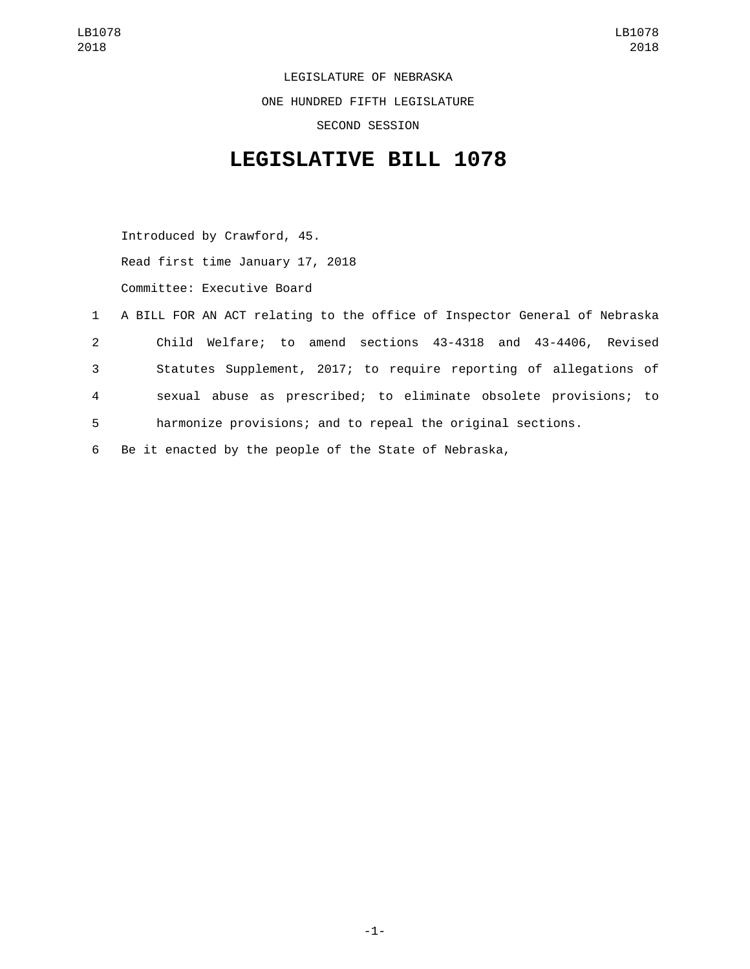LEGISLATURE OF NEBRASKA ONE HUNDRED FIFTH LEGISLATURE SECOND SESSION

## **LEGISLATIVE BILL 1078**

Introduced by Crawford, 45. Read first time January 17, 2018 Committee: Executive Board

|                | 1 A BILL FOR AN ACT relating to the office of Inspector General of Nebraska |
|----------------|-----------------------------------------------------------------------------|
| $\mathbf{2}$   | Child Welfare; to amend sections 43-4318 and 43-4406, Revised               |
| 3              | Statutes Supplement, 2017; to require reporting of allegations of           |
| $\overline{4}$ | sexual abuse as prescribed; to eliminate obsolete provisions; to            |
| 5              | harmonize provisions; and to repeal the original sections.                  |

6 Be it enacted by the people of the State of Nebraska,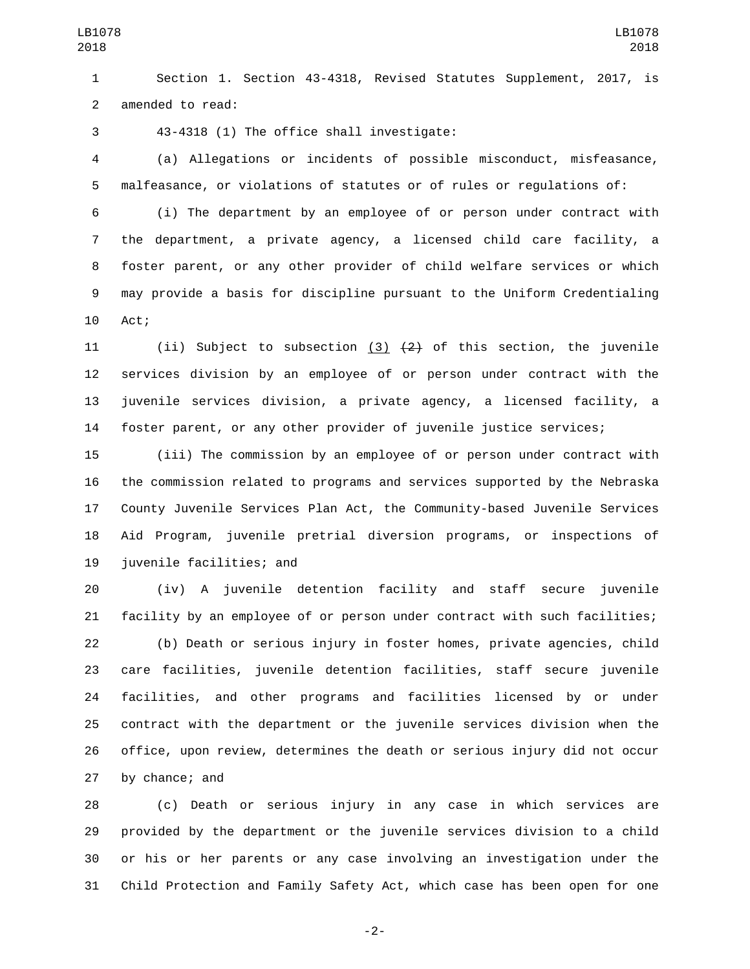Section 1. Section 43-4318, Revised Statutes Supplement, 2017, is 2 amended to read:

43-4318 (1) The office shall investigate:3

 (a) Allegations or incidents of possible misconduct, misfeasance, malfeasance, or violations of statutes or of rules or regulations of:

 (i) The department by an employee of or person under contract with the department, a private agency, a licensed child care facility, a foster parent, or any other provider of child welfare services or which may provide a basis for discipline pursuant to the Uniform Credentialing 10 Act;

11 (ii) Subject to subsection  $(3)$   $(2)$  of this section, the juvenile services division by an employee of or person under contract with the juvenile services division, a private agency, a licensed facility, a foster parent, or any other provider of juvenile justice services;

 (iii) The commission by an employee of or person under contract with the commission related to programs and services supported by the Nebraska County Juvenile Services Plan Act, the Community-based Juvenile Services Aid Program, juvenile pretrial diversion programs, or inspections of 19 juvenile facilities; and

 (iv) A juvenile detention facility and staff secure juvenile facility by an employee of or person under contract with such facilities; (b) Death or serious injury in foster homes, private agencies, child care facilities, juvenile detention facilities, staff secure juvenile facilities, and other programs and facilities licensed by or under contract with the department or the juvenile services division when the office, upon review, determines the death or serious injury did not occur 27 by chance; and

 (c) Death or serious injury in any case in which services are provided by the department or the juvenile services division to a child or his or her parents or any case involving an investigation under the Child Protection and Family Safety Act, which case has been open for one

-2-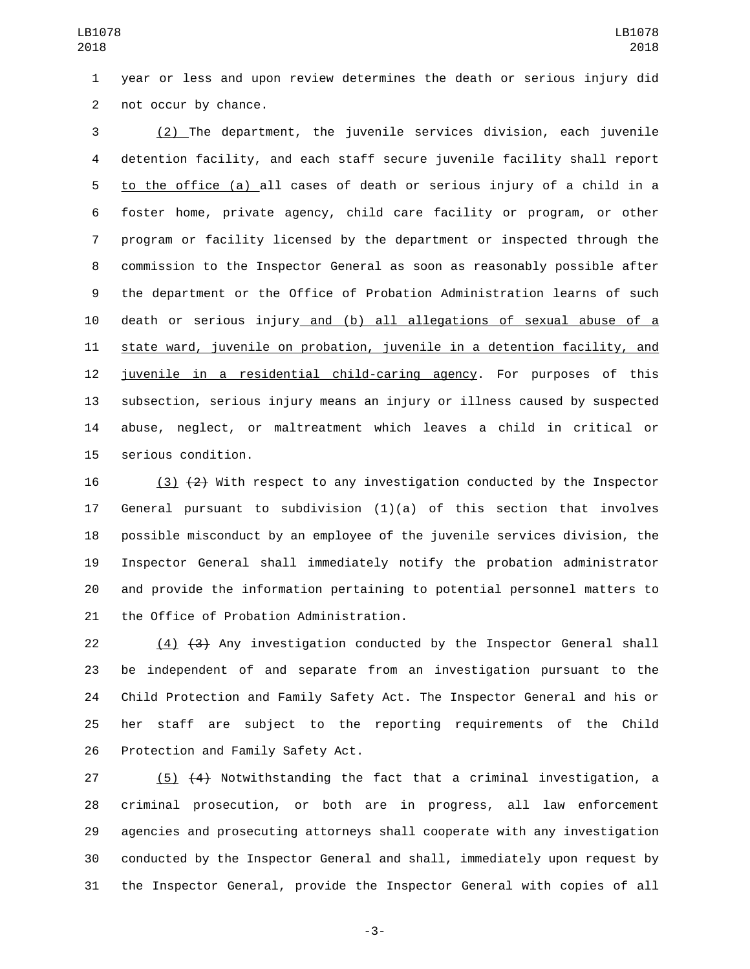year or less and upon review determines the death or serious injury did 2 not occur by chance.

 (2) The department, the juvenile services division, each juvenile detention facility, and each staff secure juvenile facility shall report to the office (a) all cases of death or serious injury of a child in a foster home, private agency, child care facility or program, or other program or facility licensed by the department or inspected through the commission to the Inspector General as soon as reasonably possible after the department or the Office of Probation Administration learns of such death or serious injury and (b) all allegations of sexual abuse of a state ward, juvenile on probation, juvenile in a detention facility, and juvenile in a residential child-caring agency. For purposes of this subsection, serious injury means an injury or illness caused by suspected abuse, neglect, or maltreatment which leaves a child in critical or 15 serious condition.

16 (3)  $\{2\}$  With respect to any investigation conducted by the Inspector General pursuant to subdivision (1)(a) of this section that involves possible misconduct by an employee of the juvenile services division, the Inspector General shall immediately notify the probation administrator and provide the information pertaining to potential personnel matters to 21 the Office of Probation Administration.

22 (4) (3) Any investigation conducted by the Inspector General shall be independent of and separate from an investigation pursuant to the Child Protection and Family Safety Act. The Inspector General and his or her staff are subject to the reporting requirements of the Child 26 Protection and Family Safety Act.

 (5) (4) Notwithstanding the fact that a criminal investigation, a criminal prosecution, or both are in progress, all law enforcement agencies and prosecuting attorneys shall cooperate with any investigation conducted by the Inspector General and shall, immediately upon request by the Inspector General, provide the Inspector General with copies of all

-3-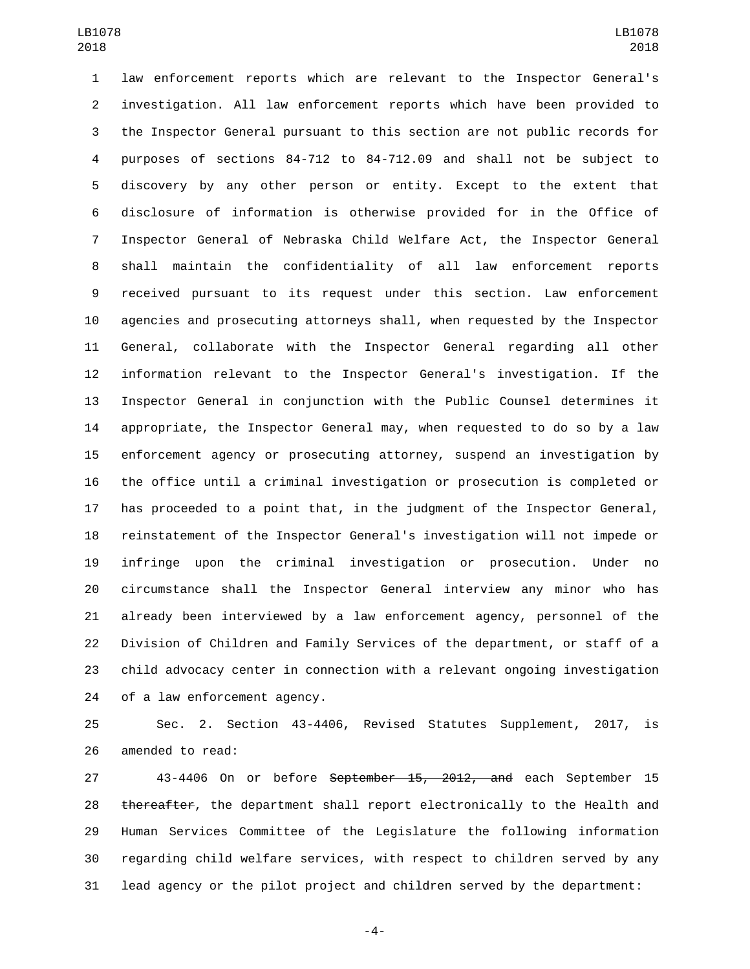law enforcement reports which are relevant to the Inspector General's investigation. All law enforcement reports which have been provided to the Inspector General pursuant to this section are not public records for purposes of sections 84-712 to 84-712.09 and shall not be subject to discovery by any other person or entity. Except to the extent that disclosure of information is otherwise provided for in the Office of Inspector General of Nebraska Child Welfare Act, the Inspector General shall maintain the confidentiality of all law enforcement reports received pursuant to its request under this section. Law enforcement agencies and prosecuting attorneys shall, when requested by the Inspector General, collaborate with the Inspector General regarding all other information relevant to the Inspector General's investigation. If the Inspector General in conjunction with the Public Counsel determines it appropriate, the Inspector General may, when requested to do so by a law enforcement agency or prosecuting attorney, suspend an investigation by the office until a criminal investigation or prosecution is completed or has proceeded to a point that, in the judgment of the Inspector General, reinstatement of the Inspector General's investigation will not impede or infringe upon the criminal investigation or prosecution. Under no circumstance shall the Inspector General interview any minor who has already been interviewed by a law enforcement agency, personnel of the Division of Children and Family Services of the department, or staff of a child advocacy center in connection with a relevant ongoing investigation 24 of a law enforcement agency.

 Sec. 2. Section 43-4406, Revised Statutes Supplement, 2017, is 26 amended to read:

 43-4406 On or before September 15, 2012, and each September 15 28 thereafter, the department shall report electronically to the Health and Human Services Committee of the Legislature the following information regarding child welfare services, with respect to children served by any lead agency or the pilot project and children served by the department:

-4-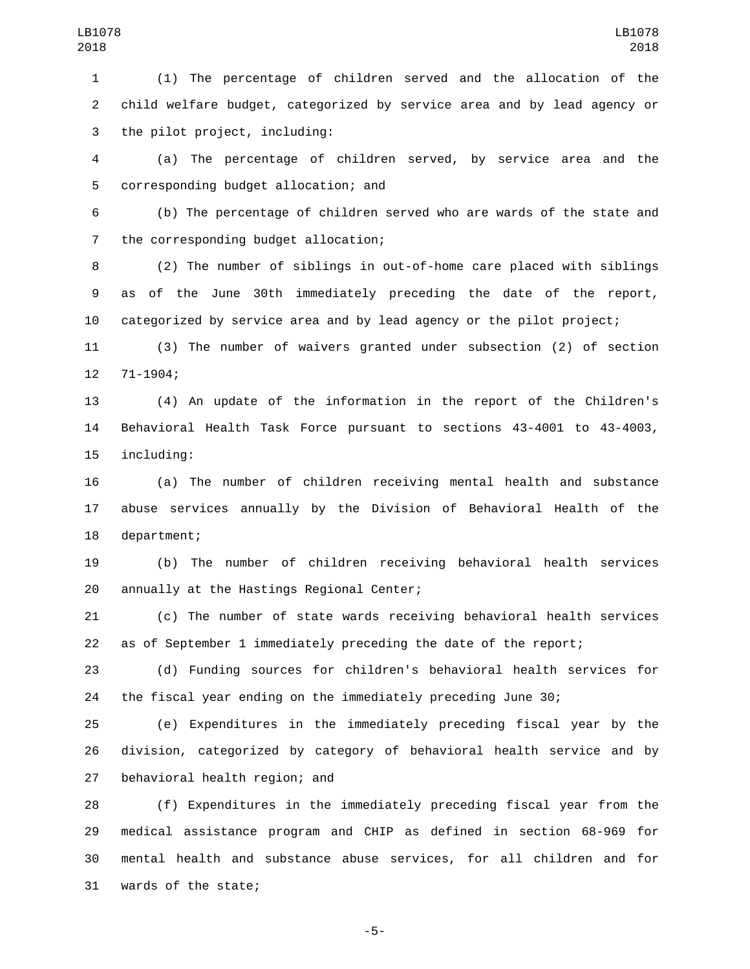(1) The percentage of children served and the allocation of the child welfare budget, categorized by service area and by lead agency or 3 the pilot project, including:

 (a) The percentage of children served, by service area and the 5 corresponding budget allocation; and

 (b) The percentage of children served who are wards of the state and 7 the corresponding budget allocation;

 (2) The number of siblings in out-of-home care placed with siblings as of the June 30th immediately preceding the date of the report, categorized by service area and by lead agency or the pilot project;

 (3) The number of waivers granted under subsection (2) of section 12 71-1904;

 (4) An update of the information in the report of the Children's Behavioral Health Task Force pursuant to sections 43-4001 to 43-4003, 15 including:

 (a) The number of children receiving mental health and substance abuse services annually by the Division of Behavioral Health of the 18 department;

 (b) The number of children receiving behavioral health services 20 annually at the Hastings Regional Center;

 (c) The number of state wards receiving behavioral health services as of September 1 immediately preceding the date of the report;

 (d) Funding sources for children's behavioral health services for the fiscal year ending on the immediately preceding June 30;

 (e) Expenditures in the immediately preceding fiscal year by the division, categorized by category of behavioral health service and by 27 behavioral health region; and

 (f) Expenditures in the immediately preceding fiscal year from the medical assistance program and CHIP as defined in section 68-969 for mental health and substance abuse services, for all children and for 31 wards of the state;

-5-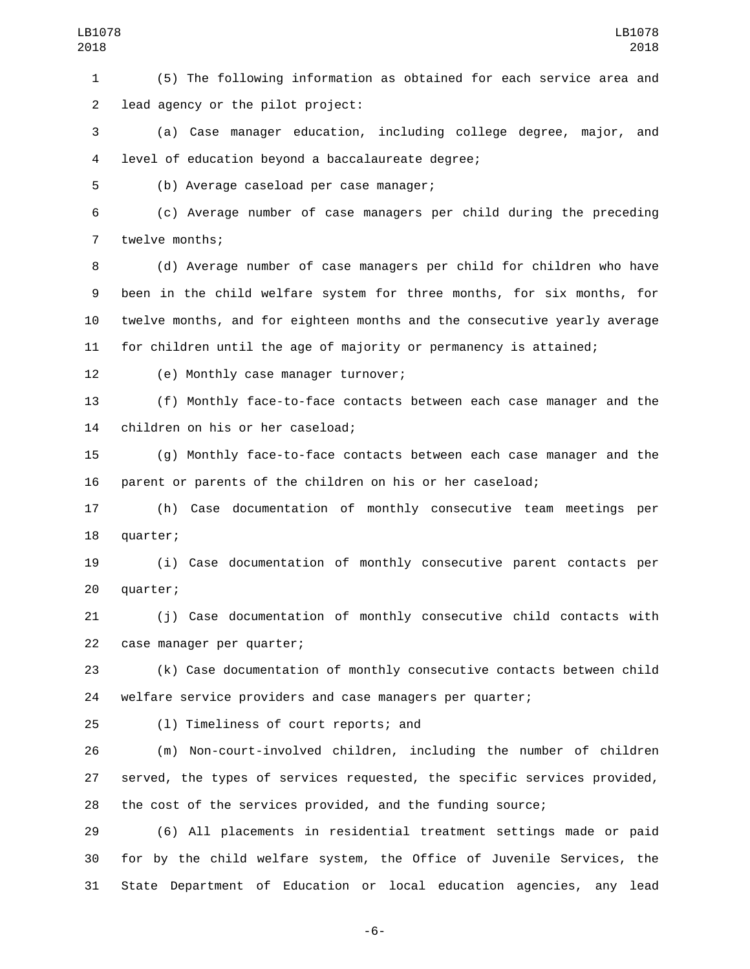(5) The following information as obtained for each service area and 2 lead agency or the pilot project:

 (a) Case manager education, including college degree, major, and 4 level of education beyond a baccalaureate degree;

5 (b) Average caseload per case manager;

 (c) Average number of case managers per child during the preceding 7 twelve months;

 (d) Average number of case managers per child for children who have been in the child welfare system for three months, for six months, for twelve months, and for eighteen months and the consecutive yearly average for children until the age of majority or permanency is attained;

12 (e) Monthly case manager turnover;

 (f) Monthly face-to-face contacts between each case manager and the 14 children on his or her caseload;

 (g) Monthly face-to-face contacts between each case manager and the parent or parents of the children on his or her caseload;

 (h) Case documentation of monthly consecutive team meetings per 18 quarter;

 (i) Case documentation of monthly consecutive parent contacts per 20 quarter;

 (j) Case documentation of monthly consecutive child contacts with 22 case manager per quarter;

 (k) Case documentation of monthly consecutive contacts between child welfare service providers and case managers per quarter;

25 (1) Timeliness of court reports; and

 (m) Non-court-involved children, including the number of children served, the types of services requested, the specific services provided, the cost of the services provided, and the funding source;

 (6) All placements in residential treatment settings made or paid for by the child welfare system, the Office of Juvenile Services, the State Department of Education or local education agencies, any lead

-6-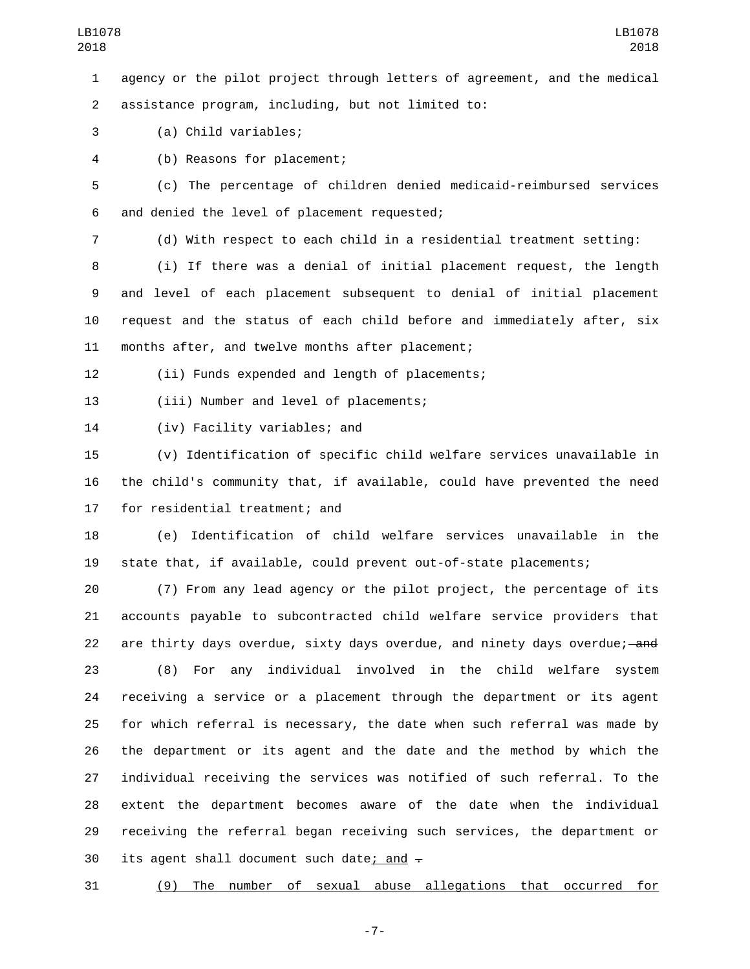agency or the pilot project through letters of agreement, and the medical assistance program, including, but not limited to:2

(a) Child variables;3

(b) Reasons for placement;4

 (c) The percentage of children denied medicaid-reimbursed services 6 and denied the level of placement requested;

(d) With respect to each child in a residential treatment setting:

 (i) If there was a denial of initial placement request, the length and level of each placement subsequent to denial of initial placement request and the status of each child before and immediately after, six 11 months after, and twelve months after placement;

(ii) Funds expended and length of placements;

13 (iii) Number and level of placements;

14 (iv) Facility variables; and

 (v) Identification of specific child welfare services unavailable in the child's community that, if available, could have prevented the need 17 for residential treatment; and

 (e) Identification of child welfare services unavailable in the state that, if available, could prevent out-of-state placements;

 (7) From any lead agency or the pilot project, the percentage of its accounts payable to subcontracted child welfare service providers that 22 are thirty days overdue, sixty days overdue, and ninety days overdue;—and

 (8) For any individual involved in the child welfare system receiving a service or a placement through the department or its agent for which referral is necessary, the date when such referral was made by the department or its agent and the date and the method by which the individual receiving the services was notified of such referral. To the extent the department becomes aware of the date when the individual receiving the referral began receiving such services, the department or 30 its agent shall document such date; and  $-$ 

(9) The number of sexual abuse allegations that occurred for

-7-